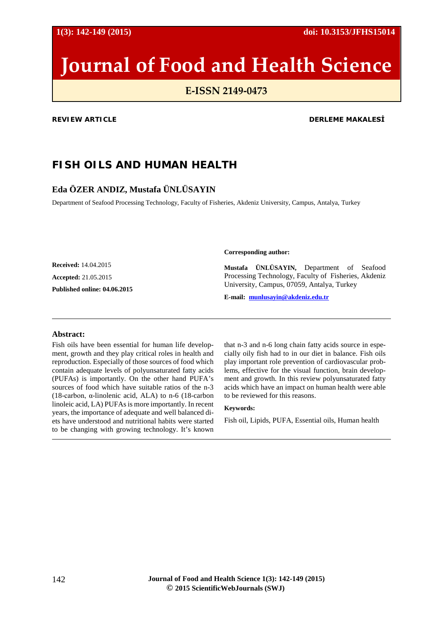**1(3): 142-149 (2015) doi: 10.3153/JFHS15014**

# **Journal of Food and Health Science**

# **E-ISSN 2149-0473**

#### **REVIEW ARTICLE DERLEME MAKALESİ**

# **FISH OILS AND HUMAN HEALTH**

## **Eda ÖZER ANDIZ, Mustafa ÜNLÜSAYIN**

Department of Seafood Processing Technology, Faculty of Fisheries, Akdeniz University, Campus, Antalya, Turkey

**Received:** 14.04.2015

**Accepted:** 21.05.2015

**Published online: 04.06.2015**

**Corresponding author:**

**Mustafa ÜNLÜSAYIN,** Department of Seafood Processing Technology, Faculty of Fisheries, Akdeniz University, Campus, 07059, Antalya, Turkey

**E-mail: [munlusayin@akdeniz.edu.tr](mailto:munlusayin@akdeniz.edu.tr)**

#### **Abstract:**

Fish oils have been essential for human life development, growth and they play critical roles in health and reproduction. Especially of those sources of food which contain adequate levels of polyunsaturated fatty acids (PUFAs) is importantly. On the other hand PUFA's sources of food which have suitable ratios of the n-3 (18-carbon, α-linolenic acid, ALA) to n-6 (18-carbon linoleic acid, LA) PUFAs is more importantly. In recent years, the importance of adequate and well balanced diets have understood and nutritional habits were started to be changing with growing technology. It's known

that n-3 and n-6 long chain fatty acids source in especially oily fish had to in our diet in balance. Fish oils play important role prevention of cardiovascular problems, effective for the visual function, brain development and growth. In this review polyunsaturated fatty acids which have an impact on human health were able to be reviewed for this reasons.

#### **Keywords:**

Fish oil, Lipids, PUFA, Essential oils, Human health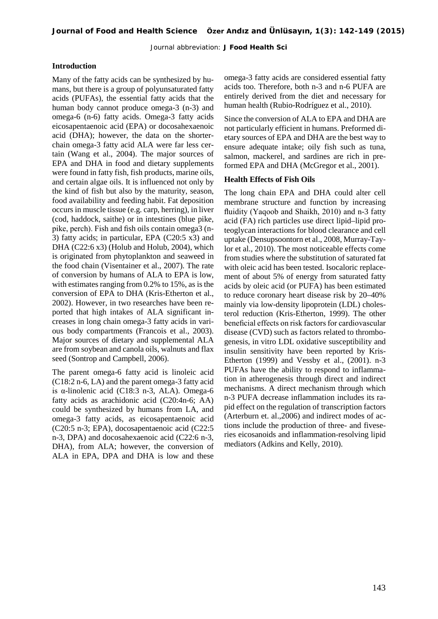Journal abbreviation: **J Food Health Sci**

#### **Introduction**

Many of the fatty acids can be synthesized by humans, but there is a group of polyunsaturated fatty acids (PUFAs), the essential fatty acids that the human body cannot produce omega-3 (n-3) and omega-6 (n-6) fatty acids. Omega-3 fatty acids eicosapentaenoic acid (EPA) or docosahexaenoic acid (DHA); however, the data on the shorterchain omega-3 fatty acid ALA were far less certain (Wang et al., 2004). The major sources of EPA and DHA in food and dietary supplements were found in fatty fish, fish products, marine oils, and certain algae oils. It is influenced not only by the kind of fish but also by the maturity, season, food availability and feeding habit. Fat deposition occurs in muscle tissue (e.g. carp, herring), in liver (cod, haddock, saithe) or in intestines (blue pike, pike, perch). Fish and fish oils contain omega3 (n-3) fatty acids; in particular, EPA (C20:5 x3) and DHA (C22:6 x3) (Holub and Holub, 2004), which is originated from phytoplankton and seaweed in the food chain (Visentainer et al., 2007). The rate of conversion by humans of ALA to EPA is low, with estimates ranging from 0.2% to 15%, as is the conversion of EPA to DHA (Kris-Etherton et al., 2002). However, in two researches have been reported that high intakes of ALA significant increases in long chain omega-3 fatty acids in various body compartments (Francois et al., 2003). Major sources of dietary and supplemental ALA are from soybean and canola oils, walnuts and flax seed (Sontrop and Campbell, 2006).

The parent omega-6 fatty acid is linoleic acid (C18:2 n-6, LA) and the parent omega-3 fatty acid is α-linolenic acid (C18:3 n-3, ALA). Omega-6 fatty acids as arachidonic acid (C20:4n-6; AA) could be synthesized by humans from LA, and omega-3 fatty acids, as eicosapentaenoic acid (C20:5 n-3; EPA), docosapentaenoic acid (C22:5 n-3, DPA) and docosahexaenoic acid (C22:6 n-3, DHA), from ALA; however, the conversion of ALA in EPA, DPA and DHA is low and these omega-3 fatty acids are considered essential fatty acids too. Therefore, both n-3 and n-6 PUFA are entirely derived from the diet and necessary for human health (Rubio-Rodríguez et al., 2010).

Since the conversion of ALA to EPA and DHA are not particularly efficient in humans. Preformed dietary sources of EPA and DHA are the best way to ensure adequate intake; oily fish such as tuna, salmon, mackerel, and sardines are rich in preformed EPA and DHA (McGregor et al., 2001).

#### **Health Effects of Fish Oils**

The long chain EPA and DHA could alter cell membrane structure and function by increasing fluidity (Yaqoob and Shaikh, 2010) and n-3 fatty acid (FA) rich particles use direct lipid–lipid proteoglycan interactions for blood clearance and cell uptake (Densupsoontorn et al., 2008, Murray-Taylor et al., 2010). The most noticeable effects come from studies where the substitution of saturated fat with oleic acid has been tested. Isocaloric replacement of about 5% of energy from saturated fatty acids by oleic acid (or PUFA) has been estimated to reduce coronary heart disease risk by 20–40% mainly via low-density lipoprotein (LDL) cholesterol reduction (Kris-Etherton, 1999). The other beneficial effects on risk factors for cardiovascular disease (CVD) such as factors related to thrombogenesis, in vitro LDL oxidative susceptibility and insulin sensitivity have been reported by Kris-Etherton (1999) and Vessby et al., (2001). n-3 PUFAs have the ability to respond to inflammation in atherogenesis through direct and indirect mechanisms. A direct mechanism through which n-3 PUFA decrease inflammation includes its rapid effect on the regulation of transcription factors (Arterburn et. al.,2006) and indirect modes of actions include the production of three- and fiveseries eicosanoids and inflammation-resolving lipid mediators (Adkins and Kelly, 2010).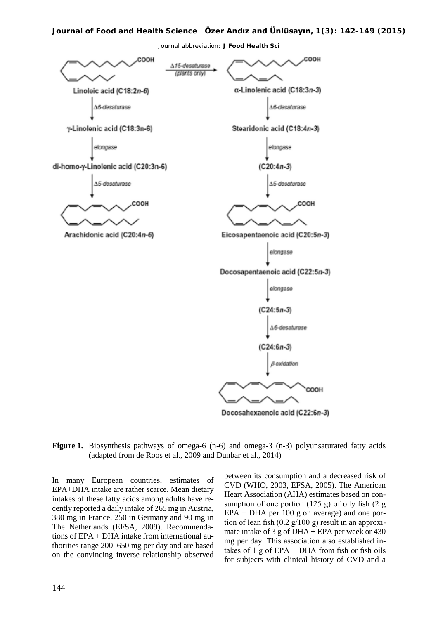#### **Journal of Food and Health Science Özer Andız and Ünlüsayın, 1(3): 142-149 (2015)**

Journal abbreviation: **J Food Health Sci**



Figure 1. Biosynthesis pathways of omega-6 (n-6) and omega-3 (n-3) polyunsaturated fatty acids (adapted from de Roos et al., 2009 and Dunbar et al., 2014)

In many European countries, estimates of EPA+DHA intake are rather scarce. Mean dietary intakes of these fatty acids among adults have recently reported a daily intake of 265 mg in Austria, 380 mg in France, 250 in Germany and 90 mg in The Netherlands (EFSA, 2009). Recommendations of EPA + DHA intake from international authorities range 200–650 mg per day and are based on the convincing inverse relationship observed

between its consumption and a decreased risk of CVD (WHO, 2003, EFSA, 2005). The American Heart Association (AHA) estimates based on consumption of one portion  $(125 \text{ g})$  of oily fish  $(2 \text{ g})$ EPA + DHA per 100 g on average) and one portion of lean fish  $(0.2 \frac{g}{100} g)$  result in an approximate intake of 3 g of DHA + EPA per week or  $430$ mg per day. This association also established intakes of 1 g of  $EPA + DHA$  from fish or fish oils for subjects with clinical history of CVD and a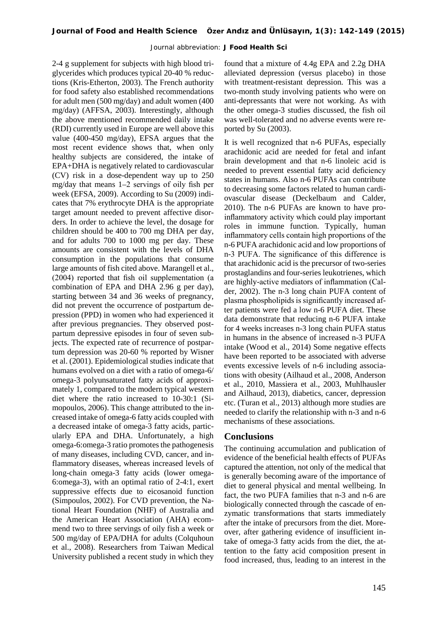Journal abbreviation: **J Food Health Sci**

2-4 g supplement for subjects with high blood triglycerides which produces typical 20-40 % reductions (Kris-Etherton, 2003). The French authority for food safety also established recommendations for adult men (500 mg/day) and adult women (400 mg/day) (AFFSA, 2003). Interestingly, although the above mentioned recommended daily intake (RDI) currently used in Europe are well above this value (400-450 mg/day), EFSA argues that the most recent evidence shows that, when only healthy subjects are considered, the intake of EPA+DHA is negatively related to cardiovascular (CV) risk in a dose-dependent way up to 250 mg/day that means 1–2 servings of oily fish per week (EFSA, 2009). According to Su (2009) indicates that 7% erythrocyte DHA is the appropriate target amount needed to prevent affective disorders. In order to achieve the level, the dosage for children should be 400 to 700 mg DHA per day, and for adults 700 to 1000 mg per day. These amounts are consistent with the levels of DHA consumption in the populations that consume large amounts of fish cited above. Marangell et al., (2004) reported that fish oil supplementation (a combination of EPA and DHA 2.96 g per day), starting between 34 and 36 weeks of pregnancy, did not prevent the occurrence of postpartum depression (PPD) in women who had experienced it after previous pregnancies. They observed postpartum depressive episodes in four of seven subjects. The expected rate of recurrence of postpartum depression was 20-60 % reported by Wisner et al. (2001). Epidemiological studies indicate that humans evolved on a diet with a ratio of omega-6/ omega-3 polyunsaturated fatty acids of approximately 1, compared to the modern typical western diet where the ratio increased to 10-30:1 (Simopoulos, 2006). This change attributed to the increased intake of omega-6 fatty acids coupled with a decreased intake of omega-3 fatty acids, particularly EPA and DHA. Unfortunately, a high omega-6:omega-3 ratio promotes the pathogenesis of many diseases, including CVD, cancer, and inflammatory diseases, whereas increased levels of long-chain omega-3 fatty acids (lower omega-6:omega-3), with an optimal ratio of 2-4:1, exert suppressive effects due to eicosanoid function (Simpoulos, 2002). For CVD prevention, the National Heart Foundation (NHF) of Australia and the American Heart Association (AHA) ecommend two to three servings of oily fish a week or 500 mg/day of EPA/DHA for adults (Colquhoun et al., 2008). Researchers from Taiwan Medical University published a recent study in which they

found that a mixture of 4.4g EPA and 2.2g DHA alleviated depression (versus placebo) in those with treatment-resistant depression. This was a two-month study involving patients who were on anti-depressants that were not working. As with the other omega-3 studies discussed, the fish oil was well-tolerated and no adverse events were reported by Su (2003).

It is well recognized that n-6 PUFAs, especially arachidonic acid are needed for fetal and infant brain development and that n-6 linoleic acid is needed to prevent essential fatty acid deficiency states in humans. Also n-6 PUFAs can contribute to decreasing some factors related to human cardiovascular disease (Deckelbaum and Calder, 2010). The n-6 PUFAs are known to have proinflammatory activity which could play important roles in immune function. Typically, human inflammatory cells contain high proportions of the n-6 PUFA arachidonic acid and low proportions of n-3 PUFA. The significance of this difference is that arachidonic acid is the precursor of two-series prostaglandins and four-series leukotrienes, which are highly-active mediators of inflammation (Calder, 2002). The n-3 long chain PUFA content of plasma phospholipids is significantly increased after patients were fed a low n-6 PUFA diet. These data demonstrate that reducing n-6 PUFA intake for 4 weeks increases n-3 long chain PUFA status in humans in the absence of increased n-3 PUFA intake (Wood et al., 2014) Some negative effects have been reported to be associated with adverse events excessive levels of n-6 including associations with obesity (Ailhaud et al., 2008, Anderson et al., 2010, Massiera et al., 2003, Muhlhausler and Ailhaud, 2013), diabetics, cancer, depression etc. (Turan et al., 2013) although more studies are needed to clarify the relationship with n-3 and n-6 mechanisms of these associations.

### **Conclusions**

The continuing accumulation and publication of evidence of the beneficial health effects of PUFAs captured the attention, not only of the medical that is generally becoming aware of the importance of diet to general physical and mental wellbeing. In fact, the two PUFA families that n-3 and n-6 are biologically connected through the cascade of enzymatic transformations that starts immediately after the intake of precursors from the diet. Moreover, after gathering evidence of insufficient intake of omega-3 fatty acids from the diet, the attention to the fatty acid composition present in food increased, thus, leading to an interest in the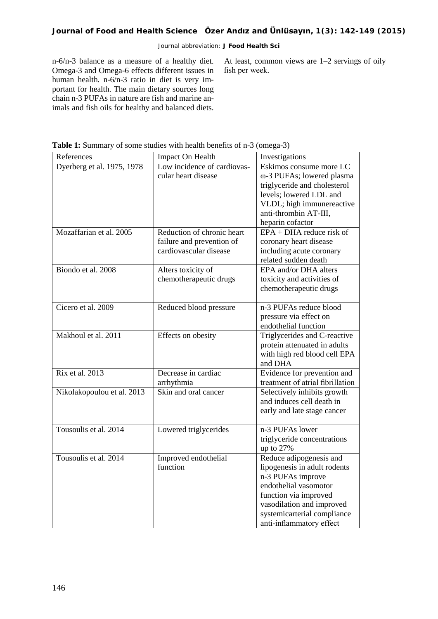#### Journal abbreviation: **J Food Health Sci**

n-6/n-3 balance as a measure of a healthy diet. Omega-3 and Omega-6 effects different issues in human health. n-6/n-3 ratio in diet is very important for health. The main dietary sources long chain n-3 PUFAs in nature are fish and marine animals and fish oils for healthy and balanced diets.

At least, common views are 1–2 servings of oily fish per week.

| References                 | Impact On Health                                                                  | Investigations                                                                                                                                                                                                         |
|----------------------------|-----------------------------------------------------------------------------------|------------------------------------------------------------------------------------------------------------------------------------------------------------------------------------------------------------------------|
| Dyerberg et al. 1975, 1978 | Low incidence of cardiovas-<br>cular heart disease                                | Eskimos consume more LC<br>ω-3 PUFAs; lowered plasma<br>triglyceride and cholesterol<br>levels; lowered LDL and<br>VLDL; high immunereactive<br>anti-thrombin AT-III,<br>heparin cofactor                              |
| Mozaffarian et al. 2005    | Reduction of chronic heart<br>failure and prevention of<br>cardiovascular disease | $EPA + DHA$ reduce risk of<br>coronary heart disease<br>including acute coronary<br>related sudden death                                                                                                               |
| Biondo et al. 2008         | Alters toxicity of<br>chemotherapeutic drugs                                      | EPA and/or DHA alters<br>toxicity and activities of<br>chemotherapeutic drugs                                                                                                                                          |
| Cicero et al. 2009         | Reduced blood pressure                                                            | n-3 PUFAs reduce blood<br>pressure via effect on<br>endothelial function                                                                                                                                               |
| Makhoul et al. 2011        | Effects on obesity                                                                | Triglycerides and C-reactive<br>protein attenuated in adults<br>with high red blood cell EPA<br>and DHA                                                                                                                |
| Rix et al. 2013            | Decrease in cardiac<br>arrhythmia                                                 | Evidence for prevention and<br>treatment of atrial fibrillation                                                                                                                                                        |
| Nikolakopoulou et al. 2013 | Skin and oral cancer                                                              | Selectively inhibits growth<br>and induces cell death in<br>early and late stage cancer                                                                                                                                |
| Tousoulis et al. 2014      | Lowered triglycerides                                                             | n-3 PUFAs lower<br>triglyceride concentrations<br>up to $27%$                                                                                                                                                          |
| Tousoulis et al. 2014      | Improved endothelial<br>function                                                  | Reduce adipogenesis and<br>lipogenesis in adult rodents<br>n-3 PUFAs improve<br>endothelial vasomotor<br>function via improved<br>vasodilation and improved<br>systemicarterial compliance<br>anti-inflammatory effect |

**Table 1:** Summary of some studies with health benefits of n-3 (omega-3)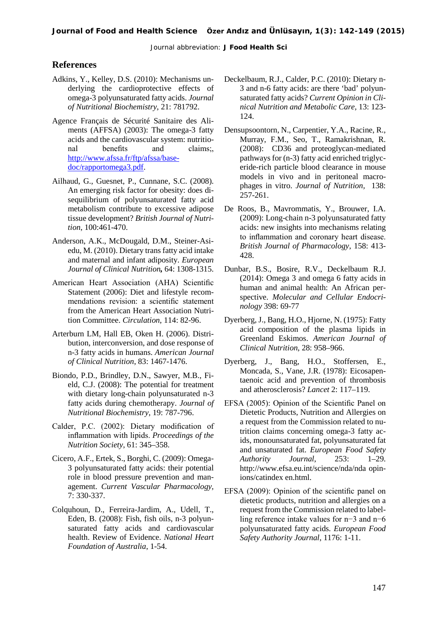#### **References**

- Adkins, Y., Kelley, D.S. (2010): Mechanisms underlying the cardioprotective effects of omega-3 polyunsaturated fatty acids. *Journal of Nutritional Biochemistry*, 21: 781792.
- Agence Français de Sécurité Sanitaire des Aliments (AFFSA) (2003): The omega-3 fatty acids and the cardiovascular system: nutritional benefits and claims; [http://www.afssa.fr/ftp/afssa/base](http://www.afssa.fr/ftp/afssa/basedoc/rapportomega3.pdf)[doc/rapportomega3.pdf.](http://www.afssa.fr/ftp/afssa/basedoc/rapportomega3.pdf)
- Ailhaud, G., Guesnet, P., Cunnane, S.C. (2008). An emerging risk factor for obesity: does disequilibrium of polyunsaturated fatty acid metabolism contribute to excessive adipose tissue development? *British Journal of Nutrition*, 100:461-470.
- Anderson, A.K., McDougald, D.M., Steiner-Asiedu, M. (2010). Dietary trans fatty acid intake and maternal and infant adiposity. *European Journal of Clinical Nutrition,* 64: 1308-1315.
- American Heart Association (AHA) Scientific Statement (2006): Diet and lifestyle recommendations revision: a scientific statement from the American Heart Association Nutrition Committee. *Circulation*, 114: 82-96.
- Arterburn LM, Hall EB, Oken H. (2006). Distribution, interconversion, and dose response of n-3 fatty acids in humans. *American Journal of Clinical Nutrition*, 83: 1467-1476.
- Biondo, P.D., Brindley, D.N., Sawyer, M.B., Field, C.J. (2008): The potential for treatment with dietary long-chain polyunsaturated n-3 fatty acids during chemotherapy. *Journal of Nutritional Biochemistry*, 19: 787-796.
- Calder, P.C. (2002): Dietary modification of inflammation with lipids. *Proceedings of the Nutrition Society*, 61: 345–358.
- Cicero, A.F., Ertek, S., Borghi, C. (2009): Omega-3 polyunsaturated fatty acids: their potential role in blood pressure prevention and management. *Current Vascular Pharmacology,* 7: 330-337.
- Colquhoun, D., Ferreira-Jardim, A., Udell, T., Eden, B. (2008): Fish, fish oils, n-3 polyunsaturated fatty acids and cardiovascular health. Review of Evidence. *National Heart Foundation of Australia*, 1-54.
- Deckelbaum, R.J., Calder, P.C. (2010): Dietary n-3 and n-6 fatty acids: are there 'bad' polyunsaturated fatty acids? *Current Opinion in Clinical Nutrition and Metabolic Care,* 13: 123- 124.
- Densupsoontorn, N., Carpentier, Y.A., Racine, R., Murray, F.M., Seo, T., Ramakrishnan, R. (2008): CD36 and proteoglycan-mediated pathways for (n-3) fatty acid enriched triglyceride-rich particle blood clearance in mouse models in vivo and in peritoneal macrophages in vitro. *Journal of Nutrition,* 138: 257-261.
- De Roos, B., Mavrommatis, Y., Brouwer, I.A. (2009): Long-chain n-3 polyunsaturated fatty acids: new insights into mechanisms relating to inflammation and coronary heart disease. *British Journal of Pharmacology*, 158: 413- 428.
- Dunbar, B.S., Bosire, R.V., Deckelbaum R.J. (2014): Omega 3 and omega 6 fatty acids in human and animal health: An African perspective. *Molecular and Cellular Endocrinology* 398: 69-77
- Dyerberg, J., Bang, H.O., Hjorne, N. (1975): Fatty acid composition of the plasma lipids in Greenland Eskimos. *American Journal of Clinical Nutrition*, 28: 958–966.
- Dyerberg, J., Bang, H.O., Stoffersen, E., Moncada, S., Vane, J.R. (1978): Eicosapentaenoic acid and prevention of thrombosis and atherosclerosis? *Lancet* 2: 117–119.
- EFSA (2005): Opinion of the Scientific Panel on Dietetic Products, Nutrition and Allergies on a request from the Commission related to nutrition claims concerning omega-3 fatty acids, monounsaturated fat, polyunsaturated fat and unsaturated fat. *European Food Safety Authority Journal*, 253: 1–29. http://www.efsa.eu.int/science/nda/nda opinions/catindex en.html.
- EFSA (2009): Opinion of the scientific panel on dietetic products, nutrition and allergies on a request from the Commission related to labelling reference intake values for n−3 and n−6 polyunsaturated fatty acids. *European Food Safety Authority Journal*, 1176: 1-11.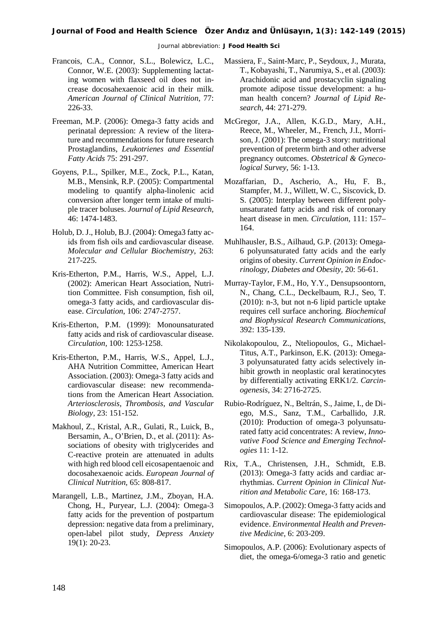#### **Journal of Food and Health Science Özer Andız and Ünlüsayın, 1(3): 142-149 (2015)**

Journal abbreviation: **J Food Health Sci**

- Francois, C.A., Connor, S.L., Bolewicz, L.C., Connor, W.E. (2003): Supplementing lactating women with flaxseed oil does not increase docosahexaenoic acid in their milk. *American Journal of Clinical Nutrition*, 77: 226-33.
- Freeman, M.P. (2006): Omega-3 fatty acids and perinatal depression: A review of the literature and recommendations for future research Prostaglandins, *Leukotrienes and Essential Fatty Acids* 75: 291-297.
- Goyens, P.L., Spilker, M.E., Zock, P.L., Katan, M.B., Mensink, R.P. (2005): Compartmental modeling to quantify alpha-linolenic acid conversion after longer term intake of multiple tracer boluses. *Journal of Lipid Research,* 46: 1474-1483.
- Holub, D. J., Holub, B.J. (2004): Omega3 fatty acids from fish oils and cardiovascular disease. *Molecular and Cellular Biochemistry*, 263: 217-225.
- Kris-Etherton, P.M., Harris, W.S., Appel, L.J. (2002): American Heart Association, Nutrition Committee. Fish consumption, fish oil, omega-3 fatty acids, and cardiovascular disease. *Circulation*, 106: 2747-2757.
- Kris-Etherton, P.M. (1999): Monounsaturated fatty acids and risk of cardiovascular disease. *Circulation,* 100: 1253-1258.
- Kris-Etherton, P.M., Harris, W.S., Appel, L.J., AHA Nutrition Committee, American Heart Association. (2003): Omega-3 fatty acids and cardiovascular disease: new recommendations from the American Heart Association. *Arteriosclerosis, Thrombosis, and Vascular Biology,* 23: 151-152.
- Makhoul, Z., Kristal, A.R., Gulati, R., Luick, B., Bersamin, A., O'Brien, D., et al. (2011): Associations of obesity with triglycerides and C-reactive protein are attenuated in adults with high red blood cell eicosapentaenoic and docosahexaenoic acids. *European Journal of Clinical Nutrition,* 65: 808-817.
- Marangell, L.B., Martinez, J.M., Zboyan, H.A. Chong, H., Puryear, L.J. (2004): Omega-3 fatty acids for the prevention of postpartum depression: negative data from a preliminary, open-label pilot study, *Depress Anxiety*  19(1): 20-23.
- Massiera, F., Saint-Marc, P., Seydoux, J., Murata, T., Kobayashi, T., Narumiya, S., et al. (2003): Arachidonic acid and prostacyclin signaling promote adipose tissue development: a human health concern? *Journal of Lipid Research,* 44: 271-279.
- McGregor, J.A., Allen, K.G.D., Mary, A.H., Reece, M., Wheeler, M., French, J.I., Morrison, J. (2001): The omega-3 story: nutritional prevention of preterm birth and other adverse pregnancy outcomes. *Obstetrical & Gynecological Survey*, 56: 1-13.
- Mozaffarian, D., Ascherio, A., Hu, F. B., Stampfer, M. J., Willett, W. C., Siscovick, D. S. (2005): Interplay between different polyunsaturated fatty acids and risk of coronary heart disease in men. *Circulation*, 111: 157– 164.
- Muhlhausler, B.S., Ailhaud, G.P. (2013): Omega-6 polyunsaturated fatty acids and the early origins of obesity. *Current Opinion in Endocrinology, Diabetes and Obesity,* 20: 56-61.
- Murray-Taylor, F.M., Ho, Y.Y., Densupsoontorn, N., Chang, C.L., Deckelbaum, R.J., Seo, T. (2010): n-3, but not n-6 lipid particle uptake requires cell surface anchoring. *Biochemical and Biophysical Research Communications,* 392: 135-139.
- Nikolakopoulou, Z., Nteliopoulos, G., Michael-Titus, A.T., Parkinson, E.K. (2013): Omega-3 polyunsaturated fatty acids selectively inhibit growth in neoplastic oral keratinocytes by differentially activating ERK1/2. *Carcinogenesis*, 34: 2716-2725.
- Rubio-Rodríguez, N., Beltrán, S., Jaime, I., de Diego, M.S., Sanz, T.M., Carballido, J.R. (2010): Production of omega-3 polyunsaturated fatty acid concentrates: A review, *Innovative Food Science and Emerging Technologies* 11: 1-12.
- Rix, T.A., Christensen, J.H., Schmidt, E.B. (2013): Omega-3 fatty acids and cardiac arrhythmias. *Current Opinion in Clinical Nutrition and Metabolic Care,* 16: 168-173.
- Simopoulos, A.P. (2002): Omega-3 fatty acids and cardiovascular disease: The epidemiological evidence. *Environmental Health and Preventive Medicine*, 6: 203-209.
- Simopoulos, A.P. (2006): Evolutionary aspects of diet, the omega-6/omega-3 ratio and genetic